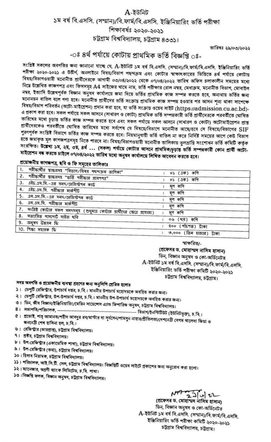# $A$ -ইউনিট ১ম বর্ষ বি.এসসি. (সম্মান)/বি.ফার্ম/বি.এসসি. ইঞ্জিনিয়ারিং ভর্তি পরীক্ষা শিক্ষাবৰ্ষঃ ২০২০-২০২১ চট্টগ্রাম বিশ্ববিদ্যালয়, চট্টগ্রাম ৪৩৩১।

তারিখঃ ২৯/০৩/২০২২

# -ঃ ৪র্থ পর্যায়ে কোটায় প্রাথমিক ভর্তি বিজ্ঞপ্তি ঃ-

সংশ্লিষ্ট সকলের অবগতির জন্য জানানো যাচ্ছে যে, A-ইউনিট ১ম বর্ষ বি.এসসি. (সম্মান)/বি.ফার্ম/বি.এসসি. ইঞ্জিনিয়ারিং ভর্তি পরীক্ষা ২০২০-২০২১ এ উত্তীর্ণ, অনলাইনে বিষয়/বিভাগ পছন্দক্রম এবং কোটার স্বাক্ষাৎকারের ভিত্তিতে ৪র্থ পর্যায়ে কোটায় বিষয়/বিভাগওয়ারী মনোনীত প্রার্থীদেরকে আগামী ০৩/০৪/২০২২ থেকে ০৭/০৪/২০২২ তারিখ অফিস চলাকালীন সময়ের মধ্যে নিম্নে উল্লেখিত কাজগপত্র এবং ফিসসমূহ A4 সাইজের খামে নাম, ভর্তি পরীক্ষার রোল নম্বর, মেধাক্রম, মনোনীত বিভাগ, মোবাইল নম্বর, ইত্যাদি উল্লেখপূর্বক বিজ্ঞান অনুষদ কার্যালয়ে জমা দিয়ে ভর্তির প্রাথমিক কাজ সম্পন্ন করতে হবে, অন্যথায় ভর্তির জন্য মনোনয়ন বাতিল বলে গণ্য হবে। মনোনীত প্রার্থীদের ভর্তি সংক্রান্ত প্রাথমিক কাজ সম্পন্ন হওয়ার পর আসন শূন্য থাকা সাপেক্ষে বিষয়/বিভাগ পরিবর্তন (অটো-মাইগ্রেশন) প্রদান করা হবে, যা ভর্তি সংক্রান্ত ওয়েব সাইট (https://admission.cu.ac.bd)-এ প্রকাশ করা হবে। সকল পর্যায়ে সকল আসনে (সাধারণ ও কোটা) প্রাথমিক ভর্তি সম্পন্নকারী ভর্তি প্রার্থীদেরকে পরবর্তীতে ঘোষিত তারিখের মধ্যে চূড়ান্ত ভর্তির কাজ সম্পন্ন করতে হবে এবং সকল পর্যায়ে সকল আসনে (সাধারণ ও কোটা) অটোমাইগ্রেশন প্রাপ্ত প্রার্থীদেরকেও পরবর্তীতে ঘোষিত তারিখের মধ্যে সর্বশেষ যে বিষয়ে/বিভাগে মনোনীত আছে/হবে সে বিষয়ে/বিভাগের SIF পুরণপূর্বক সংশ্লিষ্ট বিভাগে ভর্তির কাজ সম্পন্ন করতে হবে। নিয়মানুযায়ী ভর্তি বাতিল না করে নির্দিষ্ট সময়ের আগে কেউ বিভাগ হতে জমাকৃত মূল কাগজপত্রসমূহ নিতে পারবে না। বিষয়/বিভাগওয়ারী মনোনীত তালিকায় ভুলভ্রান্তি সংশোধন ভর্তি কমিটি কর্তৃক সংরক্ষিত। উল্লেখ্য ১ম, ২ম, ৩ম, ৪র্থ ... (সকল) পর্যায়ে কোটার আসনে প্রাথমিক/চূড়ান্ত ভর্তি সম্পন্নকারী কোন প্রার্থী অটো-মাইশ্রেশন বন্ধ করতে চাইলে ০৭/০৪/২০২২ তারিখ মধ্যে অনুষদ কার্যালয়ে লিখিত আবেদন করতে হবে।

# প্রয়োজনীয় কাগজপত্র, ছবি ও ফি সমূহের তালিকাঃ

| । । দরীক্ষার্থীর স্বাক্ষরসহ "বিভাগ/বিষয় পদ্দশক্রম তালিকা"                     |                        |
|--------------------------------------------------------------------------------|------------------------|
| 2. পরীক্ষার্থীর স্বাক্ষরসহ "ডর্তি পরীক্ষার প্রবেশপত্র"                         | ০১ (এক) কশি            |
|                                                                                | ০১ (এক) কণি            |
| 3. এইচ.এস.সি.-এর সনদ/রেজিস্ট্রশন কার্ড                                         | মূল কপি                |
| 4. এইচ.এস.সি. পরীক্ষার মার্কশীট                                                | মূল কপি                |
| 5. এস.এস.সি.-এর সনদ/রেজিস্টশন কার্ড                                            | মূল কপি                |
| 6. এস.এস.সি. পরীক্ষার মার্কশীট                                                 |                        |
|                                                                                | মূল কণি                |
| 7. সংশ্লিষ্ট কোটার সকল সনদসমূহ (শুধুমাত্র কোটার প্রার্থীদের ক্ষেত্রে প্রযোজ্য) | মূল কপি                |
| 8. সত্যায়িত পাসপোর্ট সাইজ দবি                                                 | ০৬ (দম) কণি            |
| 9. अनुयम डेन्नयन फि                                                            |                        |
| 10. শিক্ষা সহায়ক ফি                                                           | $qoo$ (পাঁচশত) টাকা    |
|                                                                                | ৩,০০০ (তিন হাজার) টাকা |

স্বাক্ষরিত/-

(প্ৰফেসর ড. মোহাম্মদ নাসিম হাসান) ডিন, বিজ্ঞান অনুষদ ও কো-অর্ডিনেটর A-ইউনিট ১ম বর্ষ বি.এসসি. (সম্মান)/বি.ফার্ম/বি.এসসি. ইঞ্জিনিয়ারিং ভর্তি পরীক্ষা কমিটি ২০২০-২০২১ চট্টগ্ৰাম বিশ্ববিদ্যালয়, চট্টগ্ৰাম।

# সদয় অবগতি ও প্রয়োজনীয় ব্যবস্থা গ্রহণের জন্য অনুলিপি প্রেরিত হলোঃ

- ১। ডেপুটি রেজিস্ট্রার, উপাচার্য দপ্তর, চ.বি.। মাননীয় উপাচার্য মহোদয়কে অবহিত করার জন্য।
- ২। ডেপুটি রেজিস্ট্রার, উপ-উপাচার্য দপ্তর, চ.বি.। মাননীয় উপ-উপাচার্য মহোদয়কে অবহিত করার জন্য।
- ৩। ডিন, জীব বিজ্ঞান/ইঞ্জিনিয়ারিং/মেরিন সায়েন্সেস এ্যান্ড ফিশারিজ অনুষদ, চট্টগ্রাম বিশ্ববিদ্যালয়।
- 
- ৫। প্রভোষ্ট, শাহ্ আমানত/শহীদ আবদুর রব/মাস্টার দা সূর্যসেন/শামসুন নাহার/প্রীতিলতা/দেশনেত্রী বেগম খালেদা জিয়া ও জননেত্ৰী শেখ হাসিনা হল, চ.বি.।
- ৬। রেজিস্টার (ভারপ্রাপ্ত), চট্টগ্রাম বিশ্ববিদ্যালয়।
- ৭। প্রতীর, চটগ্রাম বিশ্ববিদ্যালয়।
- ৮। উপ-রেজিশ্বার (একাডেমিক শাখা), চট্টগ্রাম বিশ্ববিদ্যালয়।
- ৯। উপ-রেজিস্টার (তথ্য), চট্টগ্রাম বিশ্ববিদ্যালয়।
- ১০। হিসাব নিয়ামক, চট্টগ্রাম বিশ্ববিদ্যালয়।
- ১১। পরিচালক, আই.সি.টি. সেল, চট্টগ্রাম বিশ্ববিদ্যালয়। বিজ্ঞপ্তিটি ওয়েব সাইটে প্রকাশের জন্য অনুরোধ করা হলো।
- ১২। ম্যানেজার, অগ্রণী ব্যাংক লিমিটেড, চ.বি. শাখা।
- ১৩। বিজ্ঞপ্তি ফলক, বিজ্ঞান অনুষদ, চট্টগ্রাম বিশ্ববিদ্যালয়।

# $M$  2 1 0 2

ডিন, বিজ্ঞান অনুষদ ও কো-অর্ডিনেটর A-ইউনিট ১ম বর্ষ বি.এসসি. (সম্মান)/বি.ফার্ম/বি.এসসি. ইঞ্জিনিয়ারিং ভর্তি পরীক্ষা কমিটি ২০২০-২০২১ চট্টগ্ৰাম বিশ্ববিদ্যালয়, চট্টগ্ৰাম।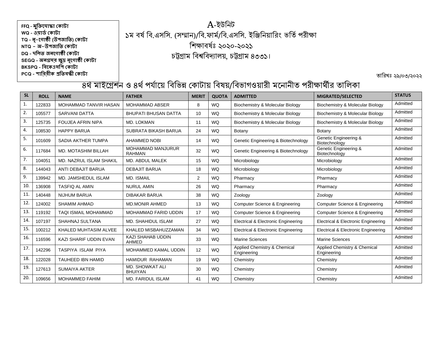## A-ইউনিট ১ম বর্ষ বি.এসসি. (সম্মান)/বি.ফার্ম/বি.এসসি. ইঞ্জিনিয়ারিং ভর্তি পরীক্ষা নিক্ষাবর্ঃষ ২০২০-২০২১ চট্টগ্রাম নবশ্বনবদ্যালয়, চট্টগ্রাম ৪৩৩১।

তারিখঃ ২৯/০৩/২০২২

| <b>SL</b> | <b>ROLL</b> | <b>NAME</b>                  | <b>FATHER</b>                             | <b>MERIT</b> | <b>QUOTA</b> | <b>ADMITTED</b>                             | MIGRATED/SELECTED                           | <b>STATUS</b> |
|-----------|-------------|------------------------------|-------------------------------------------|--------------|--------------|---------------------------------------------|---------------------------------------------|---------------|
| 1.        | 122833      | <b>MOHAMMAD TANVIR HASAN</b> | <b>MOHAMMAD ABSER</b>                     | 8            | <b>WQ</b>    | Biochemistry & Molecular Biology            | Biochemistry & Molecular Biology            | Admitted      |
| 2.        | 105577      | <b>SARVANI DATTA</b>         | <b>BHUPATI BHUSAN DATTA</b>               | 10           | <b>WQ</b>    | Biochemistry & Molecular Biology            | Biochemistry & Molecular Biology            | Admitted      |
| 3.        | 125735      | <b>FOUJEA AFRIN NIPA</b>     | MD. LOKMAN                                | 11           | <b>WQ</b>    | Biochemistry & Molecular Biology            | Biochemistry & Molecular Biology            | Admitted      |
| 4.        | 108530      | <b>HAPPY BARUA</b>           | SUBRATA BIKASH BARUA                      | 24           | <b>WQ</b>    | Botany                                      | Botany                                      | Admitted      |
| 5.        | 101609      | SADIA AKTHER TUMPA           | <b>AHAMMED NOBI</b>                       | 14           | <b>WQ</b>    | Genetic Engineering & Biotechnology         | Genetic Engineering &<br>Biotechnology      | Admitted      |
| 6.        | 117684      | <b>MD. MOTASHIM BILLAH</b>   | <b>MOHAMMAD MANJURUR</b><br><b>RAHMAN</b> | 32           | <b>WQ</b>    | Genetic Engineering & Biotechnology         | Genetic Engineering &<br>Biotechnology      | Admitted      |
| 7.        | 104051      | MD. NAZRUL ISLAM SHAKIL      | MD. ABDUL MALEK                           | 15           | <b>WQ</b>    | Microbiology                                | Microbiology                                | Admitted      |
| 8.        | 144043      | ANTI DEBAJIT BARUA           | <b>DEBAJIT BARUA</b>                      | 18           | <b>WQ</b>    | Microbiology                                | Microbiology                                | Admitted      |
| 9.        | 139942      | MD. JAMSHEDUL ISLAM          | <b>MD. ISMAIL</b>                         | 2            | <b>WQ</b>    | Pharmacy                                    | Pharmacy                                    | Admitted      |
| 10.       | 136908      | <b>TASFIQ AL AMIN</b>        | <b>NURUL AMIN</b>                         | 26           | <b>WQ</b>    | Pharmacy                                    | Pharmacy                                    | Admitted      |
| 11.       | 140448      | <b>NIJHUM BARUA</b>          | <b>DIBAKAR BARUA</b>                      | 38           | <b>WQ</b>    | Zoology                                     | Zoology                                     | Admitted      |
| 12.       | 124002      | <b>SHAMIM AHMAD</b>          | <b>MD.MONIR AHMED</b>                     | 13           | <b>WQ</b>    | Computer Science & Engineering              | Computer Science & Engineering              | Admitted      |
| 13.       | 119192      | <b>TAQI ISMAIL MOHAMMAD</b>  | <b>MOHAMMAD FARID UDDIN</b>               | 17           | <b>WQ</b>    | Computer Science & Engineering              | Computer Science & Engineering              | Admitted      |
| 14.       | 107197      | SHAHNAJ SULTANA              | MD. SHAHIDUL ISLAM                        | 27           | <b>WQ</b>    | Electrical & Electronic Engineering         | Electrical & Electronic Engineering         | Admitted      |
| 15.       | 100212      | KHALED MUHTASIM ALVEE        | KHALED MISBAHUZZAMAN                      | 34           | <b>WQ</b>    | Electrical & Electronic Engineering         | Electrical & Electronic Engineering         | Admitted      |
| 16.       | 116596      | KAZI SHARIF UDDIN EVAN       | <b>KAZI SHAHAB UDDIN</b><br>AHMED         | 33           | <b>WQ</b>    | <b>Marine Sciences</b>                      | <b>Marine Sciences</b>                      | Admitted      |
| 17.       | 142296      | TASPIYA ISLAM PIYA           | MOHAMMED KAMAL UDDIN                      | 12           | <b>WQ</b>    | Applied Chemistry & Chemical<br>Engineering | Applied Chemistry & Chemical<br>Engineering | Admitted      |
| 18.       | 122028      | <b>TAUHEED IBN HAMID</b>     | HAMIDUR RAHAMAN                           | 19           | <b>WQ</b>    | Chemistry                                   | Chemistry                                   | Admitted      |
| 19.       | 127613      | <b>SUMAIYA AKTER</b>         | <b>MD. SHOWKAT ALI</b><br><b>BHUIYAN</b>  | 30           | <b>WQ</b>    | Chemistry                                   | Chemistry                                   | Admitted      |
| 20.       | 109656      | <b>MOHAMMED FAHIM</b>        | <b>MD. FARIDUL ISLAM</b>                  | 41           | <b>WQ</b>    | Chemistry                                   | Chemistry                                   | Admitted      |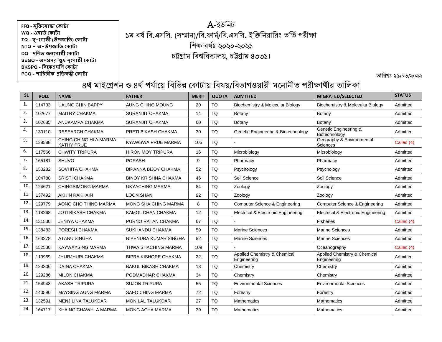## A-ইউনিট ১ম বর্ষ বি.এসসি. (সম্মান)/বি.ফার্ম/বি.এসসি. ইঞ্জিনিয়ারিং ভর্তি পরীক্ষা নিক্ষাবর্ঃষ ২০২০-২০২১ চট্টগ্রাম নবশ্বনবদ্যালয়, চট্টগ্রাম ৪৩৩১।

তারিখঃ ২৯/০৩/২০২২

| <b>SL</b>    | <b>ROLL</b> | <b>NAME</b>                         | <b>FATHER</b>               | <b>MERIT</b> | <b>QUOTA</b> | <b>ADMITTED</b>                             | MIGRATED/SELECTED                           | <b>STATUS</b> |
|--------------|-------------|-------------------------------------|-----------------------------|--------------|--------------|---------------------------------------------|---------------------------------------------|---------------|
| $\mathbf{1}$ | 114733      | <b>UAUNG CHIN BAPPY</b>             | AUNG CHING MOUNG            | 20           | TQ           | Biochemistry & Molecular Biology            | Biochemistry & Molecular Biology            | Admitted      |
| 2.           | 102677      | <b>MAITRY CHAKMA</b>                | <b>SURANJIT CHAKMA</b>      | 14           | <b>TQ</b>    | Botany                                      | Botany                                      | Admitted      |
| 3.           | 102685      | ANUKAMPA CHAKMA                     | <b>SURANJIT CHAKMA</b>      | 60           | TQ           | Botany                                      | Botany                                      | Admitted      |
| 4.           | 130110      | <b>RESEARCH CHAKMA</b>              | PRETI BIKASH CHAKMA         | 30           | TQ           | Genetic Engineering & Biotechnology         | Genetic Engineering &<br>Biotechnology      | Admitted      |
| 5.           | 138588      | CHING CHING HLA MARMA<br>KATHY PRUE | <b>KYAWSWA PRUE MARMA</b>   | 105          | TQ           |                                             | Geography & Environmental<br>Sciences       | Called (4)    |
| 6.           | 117566      | <b>CHWITY TRIPURA</b>               | <b>HIRON MOY TRIPURA</b>    | 16           | TQ           | Microbiology                                | Microbiology                                | Admitted      |
| 7.           | 165181      | <b>SHUVO</b>                        | <b>PORASH</b>               | 9            | TQ           | Pharmacy                                    | Pharmacy                                    | Admitted      |
| 8.           | 150282      | SOVHITA CHAKMA                      | <b>BIPANNA BIJOY CHAKMA</b> | 52           | TQ           | Psychology                                  | Psychology                                  | Admitted      |
| 9.           | 104780      | <b>SRISTI CHAKMA</b>                | <b>BINOY KRISHNA CHAKMA</b> | 46           | TQ           | Soil Science                                | Soil Science                                | Admitted      |
| 10.          | 124621      | <b>CHINGSIMONG MARMA</b>            | <b>UKYACHING MARMA</b>      | 84           | TQ           | Zoology                                     | Zoology                                     | Admitted      |
| 11.          | 137492      | <b>AKHIN RAKHAIN</b>                | <b>LOON SHAN</b>            | 92           | <b>TQ</b>    | Zoology                                     | Zoology                                     | Admitted      |
| 12.          | 129779      | AONG CHO THING MARMA                | MONG SHA CHING MARMA        | 8            | TQ           | <b>Computer Science &amp; Engineering</b>   | <b>Computer Science &amp; Engineering</b>   | Admitted      |
| 13.          | 118268      | <b>JOTI BIKASH CHAKMA</b>           | KAMOL CHAN CHAKMA           | 12           | <b>TQ</b>    | Electrical & Electronic Engineering         | Electrical & Electronic Engineering         | Admitted      |
| 14.          | 131530      | <b>JENIYA CHAKMA</b>                | PURNO RATAN CHAKMA          | 67           | <b>TQ</b>    |                                             | Fisheries                                   | Called (4)    |
| 15.          | 138483      | PORESH CHAKMA                       | SUKHANDU CHAKMA             | 59           | TQ           | <b>Marine Sciences</b>                      | <b>Marine Sciences</b>                      | Admitted      |
| 16.          | 163278      | <b>ATANU SINGHA</b>                 | NIPENDRA KUMAR SINGHA       | 82           | TQ           | <b>Marine Sciences</b>                      | <b>Marine Sciences</b>                      | Admitted      |
| 17.          | 152530      | <b>KAYWAYSING MARMA</b>             | <b>THWAISHACHING MARMA</b>  | 109          | TQ           |                                             | Oceanography                                | Called (4)    |
| 18.          | 119969      | <b>JHURJHURI CHAKMA</b>             | <b>BIPRA KISHORE CHAKMA</b> | 22           | TQ           | Applied Chemistry & Chemical<br>Engineering | Applied Chemistry & Chemical<br>Engineering | Admitted      |
| 19.          | 123306      | <b>DAINA CHAKMA</b>                 | <b>BAKUL BIKASH CHAKMA</b>  | 13           | <b>TQ</b>    | Chemistry                                   | Chemistry                                   | Admitted      |
| 20.          | 129286      | <b>MILON CHAKMA</b>                 | PODMADHAR CHAKMA            | 34           | TQ           | Chemistry                                   | Chemistry                                   | Admitted      |
| 21.          | 154948      | <b>AKASH TRIPURA</b>                | <b>SUJON TRIPURA</b>        | 55           | TQ           | <b>Environmental Sciences</b>               | <b>Environmental Sciences</b>               | Admitted      |
| 22.          | 140590      | <b>MAYSING AUNG MARMA</b>           | <b>SAFO CHING MARMA</b>     | 72           | TQ           | Forestry                                    | Forestry                                    | Admitted      |
| 23.          | 132591      | <b>MENJILINA TALUKDAR</b>           | <b>MONILAL TALUKDAR</b>     | 27           | TQ           | <b>Mathematics</b>                          | <b>Mathematics</b>                          | Admitted      |
| 24.          | 164717      | KHAING CHAWHLA MARMA                | <b>MONG ACHA MARMA</b>      | 39           | <b>TQ</b>    | <b>Mathematics</b>                          | <b>Mathematics</b>                          | Admitted      |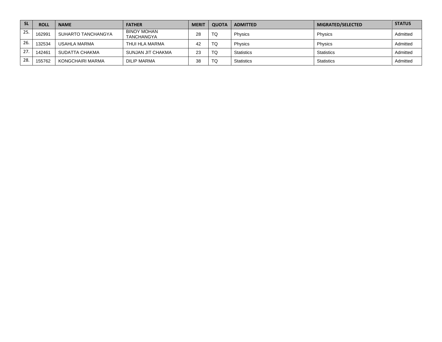| <b>SL</b> | <b>ROLL</b> | <b>NAME</b>        | <b>FATHER</b>                           | <b>MERIT</b> | <b>QUOTA</b> | <b>ADMITTED</b>   | MIGRATED/SELECTED | <b>STATUS</b> |
|-----------|-------------|--------------------|-----------------------------------------|--------------|--------------|-------------------|-------------------|---------------|
| 25.       | 162991      | SUHARTO TANCHANGYA | <b>BINOY MOHAN</b><br><b>TANCHANGYA</b> | 28           | TQ           | Physics           | Physics           | Admitted      |
| 26.       | 132534      | USAHLA MARMA       | THUI HLA MARMA                          | 42           | TQ           | Physics           | Physics           | Admitted      |
| 27.       | 142461      | SUDATTA CHAKMA     | SUNJAN JIT CHAKMA                       | 23           | TQ           | <b>Statistics</b> | Statistics        | Admitted      |
| 28.       | 155762      | KONGCHAIRI MARMA   | DILIP MARMA                             | 38           | TQ           | <b>Statistics</b> | Statistics        | Admitted      |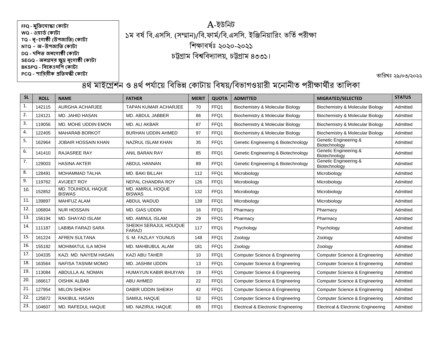## A-ইউনিট ১ম বর্ষ বি.এসসি. (সম্মান)/বি.ফার্ম/বি.এসসি. ইঞ্জিনিয়ারিং ভর্তি পরীক্ষা নিক্ষাবর্ঃষ ২০২০-২০২১ চট্টগ্রাম নবশ্বনবদ্যালয়, চট্টগ্রাম ৪৩৩১।

তারিখঃ ২৯/০৩/২০২২

| <b>SL</b>        | <b>ROLL</b> | <b>NAME</b>                         | <b>FATHER</b>                          | <b>MERIT</b> | <b>QUOTA</b> | <b>ADMITTED</b>                           | MIGRATED/SELECTED                      | <b>STATUS</b> |
|------------------|-------------|-------------------------------------|----------------------------------------|--------------|--------------|-------------------------------------------|----------------------------------------|---------------|
| $\mathbf{1}$ .   | 142115      | <b>AURGHA ACHARJEE</b>              | <b>TAPAN KUMAR ACHARJEE</b>            | 70           | FFQ1         | Biochemistry & Molecular Biology          | Biochemistry & Molecular Biology       | Admitted      |
| 2.               | 124121      | MD. JAHID HASAN                     | MD. ABDUL JABBER                       | 86           | FFQ1         | Biochemistry & Molecular Biology          | Biochemistry & Molecular Biology       | Admitted      |
| 3.               | 119056      | MD. MOHE UDDIN EMON                 | MD. ALI AKBAR                          | 87           | FFQ1         | Biochemistry & Molecular Biology          | Biochemistry & Molecular Biology       | Admitted      |
| 4.               | 122405      | <b>MAHARAB BORKOT</b>               | <b>BURHAN UDDIN AHMED</b>              | 97           | FFQ1         | Biochemistry & Molecular Biology          | Biochemistry & Molecular Biology       | Admitted      |
| 5.               | 162964      | <b>JOBAIR HOSSAIN KHAN</b>          | NAZRUL ISLAM KHAN                      | 35           | FFQ1         | Genetic Engineering & Biotechnology       | Genetic Engineering &<br>Biotechnology | Admitted      |
| 6.               | 141410      | <b>RAJASREE RAY</b>                 | <b>ANIL BARAN RAY</b>                  | 85           | FFQ1         | Genetic Engineering & Biotechnology       | Genetic Engineering &<br>Biotechnology | Admitted      |
| $\overline{7}$ . | 129003      | <b>HASINA AKTER</b>                 | ABDUL HANNAN                           | 89           | FFQ1         | Genetic Engineering & Biotechnology       | Genetic Engineering &<br>Biotechnology | Admitted      |
| 8.               | 128491      | <b>MOHAMMAD TALHA</b>               | MD. BAKI BILLAH                        | 112          | FFQ1         | Microbiology                              | Microbiology                           | Admitted      |
| 9.               | 119762      | <b>AVIJEET ROY</b>                  | NEPAL CHANDRA ROY                      | 126          | FFQ1         | Microbiology                              | Microbiology                           | Admitted      |
| 10.              | 152852      | MD. TOUHIDUL HAQUE<br><b>BISWAS</b> | MD. AMIRUL HOQUE<br><b>BISWAS</b>      | 132          | FFQ1         | Microbiology                              | Microbiology                           | Admitted      |
| 11.              | 139897      | <b>MAHFUZ ALAM</b>                  | ABDUL WADUD                            | 139          | FFQ1         | Microbiology                              | Microbiology                           | Admitted      |
| 12.              | 106804      | <b>NUR HOSSAIN</b>                  | <b>MD. GIAS UDDIN</b>                  | 16           | FFQ1         | Pharmacy                                  | Pharmacy                               | Admitted      |
| 13.              | 156194      | <b>MD. SHAYAD ISLAM</b>             | <b>MD. AMINUL ISLAM</b>                | 29           | FFQ1         | Pharmacy                                  | Pharmacy                               | Admitted      |
| 14.              | 111187      | <b>LABIBA FARAZI SARA</b>           | SHEIKH SERAJUL HOUQUE<br><b>FARAZI</b> | 117          | FFQ1         | Psychology                                | Psychology                             | Admitted      |
| 15.              | 161224      | <b>AFREN SULTANA</b>                | S. M. FAZLAY YOUNUS                    | 148          | FFQ1         | Zoology                                   | Zoology                                | Admitted      |
| 16.              | 155182      | <b>MOHIMATUL ILA MOHI</b>           | MD. MAHBUBUL ALAM                      | 181          | FFQ1         | Zoology                                   | Zoology                                | Admitted      |
| 17.              | 104335      | KAZI, MD, NAIYEM HASAN              | <b>KAZI ABU TAHER</b>                  | 10           | FFQ1         | <b>Computer Science &amp; Engineering</b> | Computer Science & Engineering         | Admitted      |
| 18.              | 163564      | NAFISA TASNIM MOMO                  | MD. JASHIM UDDIN                       | 13           | FFQ1         | Computer Science & Engineering            | Computer Science & Engineering         | Admitted      |
| 19.              | 113084      | ABDULLA AL NOMAN                    | <b>HUMAYUN KABIR BHUIYAN</b>           | 19           | FFQ1         | Computer Science & Engineering            | Computer Science & Engineering         | Admitted      |
| 20.              | 166617      | <b>OISHIK ALBAB</b>                 | <b>ABU AHMED</b>                       | 22           | FFQ1         | Computer Science & Engineering            | Computer Science & Engineering         | Admitted      |
| 21.              | 127954      | <b>MILON SHEIKH</b>                 | <b>DABIR UDDIN SHEIKH</b>              | 42           | FFQ1         | Computer Science & Engineering            | Computer Science & Engineering         | Admitted      |
| 22.              | 125872      | <b>RAKIBUL HASAN</b>                | SAMIUL HAQUE                           | 52           | FFQ1         | Computer Science & Engineering            | Computer Science & Engineering         | Admitted      |
| 23.              | 104607      | MD. RAFEDUL HAQUE                   | MD. NAZIRUL HAQUE                      | 65           | FFQ1         | Electrical & Electronic Engineering       | Electrical & Electronic Engineering    | Admitted      |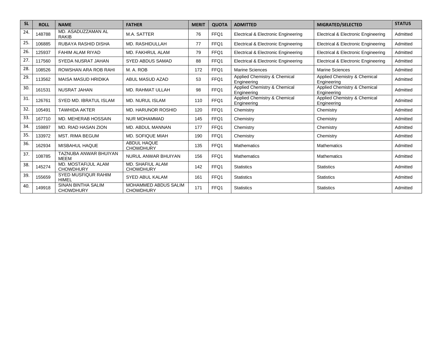| <b>SL</b> | <b>ROLL</b> | <b>NAME</b>                             | <b>FATHER</b>                               | <b>MERIT</b> | <b>QUOTA</b> | <b>ADMITTED</b>                                | MIGRATED/SELECTED                              | <b>STATUS</b> |
|-----------|-------------|-----------------------------------------|---------------------------------------------|--------------|--------------|------------------------------------------------|------------------------------------------------|---------------|
| 24.       | 148788      | MD. ASADUZZAMAN AL<br><b>RAKIB</b>      | M.A. SATTER                                 | 76           | FFQ1         | <b>Electrical &amp; Electronic Engineering</b> | <b>Electrical &amp; Electronic Engineering</b> | Admitted      |
| 25.       | 106885      | RUBAYA RASHID DISHA                     | MD. RASHIDULLAH                             | 77           | FFQ1         | Electrical & Electronic Engineering            | <b>Electrical &amp; Electronic Engineering</b> | Admitted      |
| 26.       | 125937      | FAHIM ALAM RIYAD                        | MD. FAKHRUL ALAM                            | 79           | FFQ1         | Electrical & Electronic Engineering            | Electrical & Electronic Engineering            | Admitted      |
| 27.       | 117560      | SYEDA NUSRAT JAHAN                      | <b>SYED ABDUS SAMAD</b>                     | 88           | FFQ1         | Electrical & Electronic Engineering            | Electrical & Electronic Engineering            | Admitted      |
| 28.       | 108526      | ROWSHAN ARA ROB RAHI                    | M. A. ROB                                   | 172          | FFQ1         | Marine Sciences                                | <b>Marine Sciences</b>                         | Admitted      |
| 29.       | 113562      | <b>MAISA MASUD HRIDIKA</b>              | ABUL MASUD AZAD                             | 53           | FFQ1         | Applied Chemistry & Chemical<br>Engineering    | Applied Chemistry & Chemical<br>Engineering    | Admitted      |
| 30.       | 161531      | NUSRAT JAHAN                            | MD. RAHMAT ULLAH                            | 98           | FFQ1         | Applied Chemistry & Chemical<br>Engineering    | Applied Chemistry & Chemical<br>Engineering    | Admitted      |
| 31        | 126761      | SYED MD. IBRATUL ISLAM                  | <b>MD. NURUL ISLAM</b>                      | 110          | FFQ1         | Applied Chemistry & Chemical<br>Engineering    | Applied Chemistry & Chemical<br>Engineering    | Admitted      |
| 32.       | 105491      | <b>TAWHIDA AKTER</b>                    | <b>MD. HARUNOR ROSHID</b>                   | 120          | FFQ1         | Chemistry                                      | Chemistry                                      | Admitted      |
| 33.       | 167710      | MD. MEHERAB HOSSAIN                     | <b>NUR MOHAMMAD</b>                         | 145          | FFQ1         | Chemistry                                      | Chemistry                                      | Admitted      |
| 34.       | 159897      | MD. RIAD HASAN ZION                     | <b>MD. ABDUL MANNAN</b>                     | 177          | FFQ1         | Chemistry                                      | Chemistry                                      | Admitted      |
| 35.       | 133972      | <b>MST. RIMA BEGUM</b>                  | <b>MD. SOFIQUE MIAH</b>                     | 190          | FFQ1         | Chemistry                                      | Chemistry                                      | Admitted      |
| 36.       | 162934      | MISBAHUL HAQUE                          | ABDUL HAQUE<br><b>CHOWDHURY</b>             | 135          | FFQ1         | <b>Mathematics</b>                             | <b>Mathematics</b>                             | Admitted      |
| 37.       | 108785      | TAZNUBA ANWAR BHUIYAN<br><b>MEEM</b>    | NURUL ANWAR BHUIYAN                         | 156          | FFQ1         | <b>Mathematics</b>                             | <b>Mathematics</b>                             | Admitted      |
| 38.       | 145274      | MD. MOSTAFIJUL ALAM<br><b>CHOWDHURY</b> | <b>MD. SHAFIUL ALAM</b><br><b>CHOWDHURY</b> | 142          | FFQ1         | <b>Statistics</b>                              | <b>Statistics</b>                              | Admitted      |
| 39.       | 155659      | <b>SYED MUSFIQUR RAHIM</b><br>HIMEL     | <b>SYED ABUL KALAM</b>                      | 161          | FFQ1         | <b>Statistics</b>                              | <b>Statistics</b>                              | Admitted      |
| 40.       | 149918      | SINAN BINTHA SALIM<br><b>CHOWDHURY</b>  | MOHAMMED ABDUS SALIM<br><b>CHOWDHURY</b>    | 171          | FFQ1         | <b>Statistics</b>                              | <b>Statistics</b>                              | Admitted      |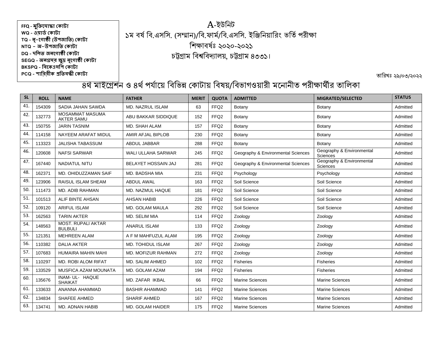## A-ইউনিট ১ম বর্ষ বি.এসসি. (সম্মান)/বি.ফার্ম/বি.এসসি. ইঞ্জিনিয়ারিং ভর্তি পরীক্ষা নিক্ষাবর্ঃষ ২০২০-২০২১ চট্টগ্রাম নবশ্বনবদ্যালয়, চট্টগ্রাম ৪৩৩১।

তারিখঃ ২৯/০৩/২০২২

| <b>SL</b> | <b>ROLL</b> | <b>NAME</b>                                 | <b>FATHER</b>              | <b>MERIT</b> | <b>QUOTA</b>     | <b>ADMITTED</b>                    | MIGRATED/SELECTED                     | <b>STATUS</b> |
|-----------|-------------|---------------------------------------------|----------------------------|--------------|------------------|------------------------------------|---------------------------------------|---------------|
| 41.       | 154309      | SADIA JAHAN SAWDA                           | <b>MD. NAZRUL ISLAM</b>    | 63           | FFQ <sub>2</sub> | Botany                             | Botany                                | Admitted      |
| 42.       | 132773      | <b>MOSAMMAT MASUMA</b><br><b>AKTER SAMU</b> | <b>ABU BAKKAR SIDDIQUE</b> | 152          | FFQ <sub>2</sub> | Botany                             | Botany                                | Admitted      |
| 43.       | 150755      | <b>JARIN TASNIM</b>                         | MD. SHAH ALAM              | 157          | FFQ <sub>2</sub> | Botany                             | Botany                                | Admitted      |
| 44.       | 114158      | NAYEEM ARAFAT MIDUL                         | <b>AMIR AFJAL BIPLOB</b>   | 230          | FFQ <sub>2</sub> | Botany                             | Botany                                | Admitted      |
| 45.       | 113323      | <b>JALISHA TABASSUM</b>                     | <b>ABDUL JABBAR</b>        | 288          | FFQ <sub>2</sub> | Botany                             | Botany                                | Admitted      |
| 46.       | 120608      | <b>NAFSI SARWAR</b>                         | WALI ULLAHA SARWAR         | 245          | FFQ <sub>2</sub> | Geography & Environmental Sciences | Geography & Environmental<br>Sciences | Admitted      |
| 47.       | 167440      | <b>NADIATUL NITU</b>                        | <b>BELAYET HOSSAIN JAJ</b> | 281          | FFQ <sub>2</sub> | Geography & Environmental Sciences | Geography & Environmental<br>Sciences | Admitted      |
| 48.       | 162371      | MD. OHIDUZZAMAN SAIF                        | MD. BADSHA MIA             | 231          | FFQ <sub>2</sub> | Psychology                         | Psychology                            | Admitted      |
| 49.       | 123906      | <b>RAISUL ISLAM SHEAM</b>                   | <b>ABDUL AWAL</b>          | 163          | FFQ <sub>2</sub> | Soil Science                       | Soil Science                          | Admitted      |
| 50.       | 111473      | MD. ADIB RAHMAN                             | MD. NAZMUL HAQUE           | 181          | FFQ <sub>2</sub> | Soil Science                       | Soil Science                          | Admitted      |
| 51.       | 101513      | ALIF BINTE AHSAN                            | <b>AHSAN HABIB</b>         | 226          | FFQ <sub>2</sub> | Soil Science                       | Soil Science                          | Admitted      |
| 52.       | 109120      | <b>ARIFUL ISLAM</b>                         | <b>MD. GOLAM MAULA</b>     | 292          | FFQ <sub>2</sub> | Soil Science                       | Soil Science                          | Admitted      |
| 53.       | 162563      | <b>TARIN AKTER</b>                          | MD. SELIM MIA              | 114          | FFQ <sub>2</sub> | Zoology                            | Zoology                               | Admitted      |
| 54.       | 148563      | <b>MOST, RUPALI AKTAR</b><br><b>BULBULI</b> | <b>ANARUL ISLAM</b>        | 133          | FFQ <sub>2</sub> | Zoology                            | Zoology                               | Admitted      |
| 55.       | 121351      | <b>MEHREEN ALAM</b>                         | A F M MAHFUZUL ALAM        | 195          | FFQ <sub>2</sub> | Zoology                            | Zoology                               | Admitted      |
| 56.       | 110382      | <b>DALIA AKTER</b>                          | <b>MD. TOHIDUL ISLAM</b>   | 267          | FFQ <sub>2</sub> | Zoology                            | Zoology                               | Admitted      |
| 57.       | 107683      | HUMAIRA MAHIN MAHI                          | MD. MOFIZUR RAHMAN         | 272          | FFQ <sub>2</sub> | Zoology                            | Zoology                               | Admitted      |
| 58.       | 110297      | MD. ROBI ALOM RIFAT                         | MD. SALIM AHMED            | 102          | FFQ <sub>2</sub> | Fisheries                          | Fisheries                             | Admitted      |
| 59.       | 133529      | MUSFICA AZAM MOUNATA                        | MD. GOLAM AZAM             | 194          | FFQ <sub>2</sub> | <b>Fisheries</b>                   | <b>Fisheries</b>                      | Admitted      |
| 60.       | 135676      | INAM- UL- HAQUE<br><b>SHAIKAT</b>           | MD. ZAFAR IKBAL            | 66           | FFQ <sub>2</sub> | <b>Marine Sciences</b>             | <b>Marine Sciences</b>                | Admitted      |
| 61.       | 133633      | ANANNA AHAMMAD                              | <b>BASHIR AHAMMAD</b>      | 141          | FFQ2             | <b>Marine Sciences</b>             | <b>Marine Sciences</b>                | Admitted      |
| 62.       | 134834      | <b>SHAFEE AHMED</b>                         | <b>SHARIF AHMED</b>        | 167          | FFQ2             | <b>Marine Sciences</b>             | <b>Marine Sciences</b>                | Admitted      |
| 63.       | 134741      | <b>MD. ADNAN HABIB</b>                      | <b>MD. GOLAM HAIDER</b>    | 175          | FFQ <sub>2</sub> | <b>Marine Sciences</b>             | Marine Sciences                       | Admitted      |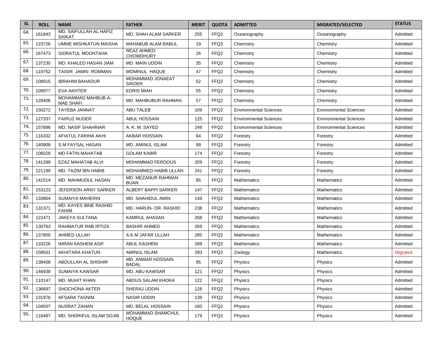| <b>SL</b> | <b>ROLL</b> | <b>NAME</b>                                   | <b>FATHER</b>                         | <b>MERIT</b> | <b>QUOTA</b>     | <b>ADMITTED</b>               | <b>MIGRATED/SELECTED</b>      | <b>STATUS</b> |
|-----------|-------------|-----------------------------------------------|---------------------------------------|--------------|------------------|-------------------------------|-------------------------------|---------------|
| 64.       | 161843      | MD. SAIFULLAH AL HAFIZ<br><b>SAIKAT</b>       | <b>MD. SHAH ALAM SARKER</b>           | 255          | FFQ <sub>2</sub> | Oceanography                  | Oceanography                  | Admitted      |
| 65.       | 123726      | <b>UMME MISHKATUN MAISHA</b>                  | MAHABUB ALAM BABUL                    | 19           | FFQ <sub>2</sub> | Chemistry                     | Chemistry                     | Admitted      |
| 66.       | 167473      | SIDRATUL MOONTAHA                             | <b>REAZ AHMED</b><br><b>CHOWDHURY</b> | 26           | FFQ <sub>2</sub> | Chemistry                     | Chemistry                     | Admitted      |
| 67.       | 137230      | MD. KHALED HASAN JIAM                         | MD. MAIN UDDIN                        | 35           | FFQ <sub>2</sub> | Chemistry                     | Chemistry                     | Admitted      |
| 68.       | 119752      | TAISIR JAMIN ROMMAN                           | MOMINUL HAQUE                         | 47           | FFQ <sub>2</sub> | Chemistry                     | Chemistry                     | Admitted      |
| 69.       | 108915      | <b>IBRAHIM BAHADUR</b>                        | MOHAMMAD JONAEAT<br><b>SIKDER</b>     | 52           | FFQ <sub>2</sub> | Chemistry                     | Chemistry                     | Admitted      |
| 70.       | 109977      | <b>EVA AKHTER</b>                             | <b>EDRIS MIAH</b>                     | 55           | FFQ <sub>2</sub> | Chemistry                     | Chemistry                     | Admitted      |
| 71.       | 128406      | <b>MOHAMMAD MAHBUB-A-</b><br><b>MAE SHAFI</b> | MD. MAHBUBUR RAHMAN                   | 57           | FFQ <sub>2</sub> | Chemistry                     | Chemistry                     | Admitted      |
| 72.       | 150272      | <b>TAYEBA JANNAT</b>                          | <b>ABU TALEB</b>                      | 109          | FFQ <sub>2</sub> | <b>Environmental Sciences</b> | <b>Environmental Sciences</b> | Admitted      |
| 73.       | 127337      | <b>FAIRUZ NUDER</b>                           | <b>ABUL HOSSAIN</b>                   | 125          | FFQ <sub>2</sub> | <b>Environmental Sciences</b> | <b>Environmental Sciences</b> | Admitted      |
| 74.       | 157896      | <b>MD. NASIF SHAHRIAR</b>                     | A. K. M. SAYED                        | 249          | FFQ <sub>2</sub> | <b>Environmental Sciences</b> | <b>Environmental Sciences</b> | Admitted      |
| 75.       | 116332      | AFIATUL FARIHA AKHI                           | <b>AKBAR HOSSAIN</b>                  | 64           | FFQ <sub>2</sub> | Forestry                      | Forestry                      | Admitted      |
| 76.       | 140909      | <b>S.M FAYSAL HASAN</b>                       | MD. AMINUL ISLAM                      | 99           | FFQ <sub>2</sub> | Forestry                      | Forestry                      | Admitted      |
| 77.       | 106028      | <b>MD FATIN MAHATAB</b>                       | <b>GOLAM KABIR</b>                    | 174          | FFQ <sub>2</sub> | Forestry                      | Forestry                      | Admitted      |
| 78.       | 141289      | EZAZ MAHATAB ALVI                             | <b>MOHAMMAD FERDOUS</b>               | 209          | FFQ <sub>2</sub> | Forestry                      | Forestry                      | Admitted      |
| 79.       | 121199      | MD. TAZIM IBN HABIB                           | MOHAMMED HABIB ULLAH                  | 241          | FFQ <sub>2</sub> | Forestry                      | Forestry                      | Admitted      |
| 80.       | 141514      | MD. MAHMUDUL HASAN                            | MD. MEZANUR RAHMAN<br><b>BUAN</b>     | 85           | FFQ2             | Mathematics                   | <b>Mathematics</b>            | Admitted      |
| 81.       | 153123      | JEFERSON ARNY SARKER                          | <b>ALBERT BAPPI SARKER</b>            | 147          | FFQ <sub>2</sub> | Mathematics                   | <b>Mathematics</b>            | Admitted      |
| 82.       | 133804      | <b>SUMAIYA MAHERIN</b>                        | MD. SHAHIDUL AMIN                     | 149          | FFQ <sub>2</sub> | Mathematics                   | Mathematics                   | Admitted      |
| 83.       | 131371      | <b>MD. KAYES IBNE RASHID</b><br><b>FAHIM</b>  | MD. HARUN- OR- RASHID                 | 238          | FFQ2             | <b>Mathematics</b>            | <b>Mathematics</b>            | Admitted      |
| 84.       | 122471      | <b>JAKEYA SULTANA</b>                         | <b>KAMRUL AHASAN</b>                  | 268          | FFQ <sub>2</sub> | Mathematics                   | <b>Mathematics</b>            | Admitted      |
| 85.       | 130763      | RAHMATUR RAB IRTIZA                           | <b>BASHIR AHMED</b>                   | 269          | FFQ <sub>2</sub> | Mathematics                   | <b>Mathematics</b>            | Admitted      |
| 86.       | 137800      | AHMED ULLAH                                   | A.K.M JAFAR ULLAH                     | 285          | FFQ <sub>2</sub> | <b>Mathematics</b>            | Mathematics                   | Admitted      |
| 87.       | 133226      | IMRAN KASHEM ASIF                             | <b>ABUL KASHEM</b>                    | 289          | FFQ <sub>2</sub> | Mathematics                   | <b>Mathematics</b>            | Admitted      |
| 88.       | 158501      | AKHITARA KHATUN                               | AMINUL ISLAM                          | 293          | FFQ <sub>2</sub> | Zoology                       | <b>Mathematics</b>            | Migrated      |
| 89.       | 138408      | ABDULLAH AL SHISHIR                           | MD. ANWAR HOSSAIN<br><b>BADAL</b>     | 95           | FFQ <sub>2</sub> | Physics                       | <b>Physics</b>                | Admitted      |
| 90.       | 146938      | SUMAIYA KAWSAR                                | MD. ABU KAWSAR                        | 121          | FFQ2             | Physics                       | Physics                       | Admitted      |
| 91.       | 110147      | MD. MUHIT KHAN                                | ABDUS SALAM KHOKA                     | 122          | FFQ <sub>2</sub> | Physics                       | Physics                       | Admitted      |
| 92.       | 136697      | SHOCHONA AKTER                                | SHERAJ UDDIN                          | 128          | FFQ <sub>2</sub> | Physics                       | Physics                       | Admitted      |
| 93.       | 131976      | AFSARA TASNIM                                 | <b>NASIR UDDIN</b>                    | 139          | FFQ <sub>2</sub> | Physics                       | Physics                       | Admitted      |
| 94.       | 104507      | NUSRAT ZAHAN                                  | MD. BELAL HOSSAIN                     | 160          | FFQ <sub>2</sub> | Physics                       | Physics                       | Admitted      |
| 95.       | 116487      | MD. SHORIFUL ISLAM SOJIB                      | MOHAMMAD SHAMCHUL<br><b>HOQUE</b>     | 179          | FFQ <sub>2</sub> | Physics                       | Physics                       | Admitted      |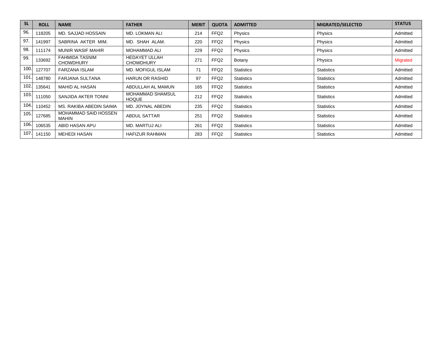| <b>SL</b> | <b>ROLL</b> | <b>NAME</b>                               | <b>FATHER</b>                            | <b>MERIT</b> | <b>QUOTA</b>     | <b>ADMITTED</b>   | MIGRATED/SELECTED | <b>STATUS</b>   |
|-----------|-------------|-------------------------------------------|------------------------------------------|--------------|------------------|-------------------|-------------------|-----------------|
| 96.       | 118205      | MD. SAJJAD HOSSAIN                        | <b>MD. LOKMAN ALI</b>                    | 214          | FFQ <sub>2</sub> | Physics           | Physics           | Admitted        |
| 97.       | 141997      | SABRINA AKTER MIM.                        | MD. SHAH ALAM.                           | 220          | FFQ <sub>2</sub> | Physics           | Physics           | Admitted        |
| 98.       | 111174      | <b>MUNIR WASIF MAHIR</b>                  | <b>MOHAMMAD ALI</b>                      | 229          | FFQ <sub>2</sub> | Physics           | Physics           | Admitted        |
| 99.       | 133692      | <b>FAHMIDA TASNIM</b><br><b>CHOWDHURY</b> | <b>HEDAYET ULLAH</b><br><b>CHOWDHURY</b> | 271          | FFQ2             | Botany            | Physics           | <b>Migrated</b> |
| 100       | 127707      | <b>FARZANA ISLAM</b>                      | <b>MD. MOFIGUL ISLAM</b>                 | 71           | FFQ <sub>2</sub> | <b>Statistics</b> | <b>Statistics</b> | Admitted        |
| 101       | 148780      | <b>FARJANA SULTANA</b>                    | <b>HARUN OR RASHID</b>                   | 97           | FFQ <sub>2</sub> | <b>Statistics</b> | <b>Statistics</b> | Admitted        |
| 102       | 135641      | MAHID AL HASAN                            | ABDULLAH AL MAMUN                        | 165          | FFQ2             | <b>Statistics</b> | <b>Statistics</b> | Admitted        |
| 103       | 111050      | SANJIDA AKTER TONNI                       | <b>MOHAMMAD SHAMSUL</b><br><b>HOQUE</b>  | 212          | FFQ <sub>2</sub> | <b>Statistics</b> | <b>Statistics</b> | Admitted        |
| 104       | 110452      | MS. RAKIBA ABEDIN SAIMA                   | MD. JOYNAL ABEDIN                        | 235          | FFQ <sub>2</sub> | <b>Statistics</b> | <b>Statistics</b> | Admitted        |
| 105       | 127685      | MOHAMMAD SAID HOSSEN<br><b>MAHIN</b>      | <b>ABDUL SATTAR</b>                      | 251          | FFQ <sub>2</sub> | <b>Statistics</b> | <b>Statistics</b> | Admitted        |
| 106       | 106535      | ABID HASAN APU                            | <b>MD. MARTUJ ALI</b>                    | 261          | FFQ <sub>2</sub> | <b>Statistics</b> | <b>Statistics</b> | Admitted        |
| 107       | 141150      | <b>MEHEDI HASAN</b>                       | <b>HAFIZUR RAHMAN</b>                    | 283          | FFQ <sub>2</sub> | <b>Statistics</b> | <b>Statistics</b> | Admitted        |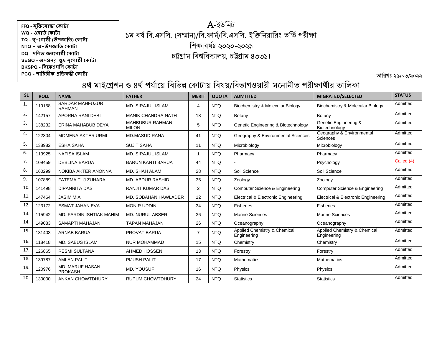## A-ইউনিট ১ম বর্ষ বি.এসসি. (সম্মান)/বি.ফার্ম/বি.এসসি. ইঞ্জিনিয়ারিং ভর্তি পরীক্ষা নিক্ষাবর্ঃষ ২০২০-২০২১ চট্টগ্রাম নবশ্বনবদ্যালয়, চট্টগ্রাম ৪৩৩১।

তারিখঃ ২৯/০৩/২০২২

| <b>SL</b>    | <b>ROLL</b> | <b>NAME</b>                             | <b>FATHER</b>                          | <b>MERIT</b>   | <b>QUOTA</b> | <b>ADMITTED</b>                             | MIGRATED/SELECTED                              | <b>STATUS</b> |
|--------------|-------------|-----------------------------------------|----------------------------------------|----------------|--------------|---------------------------------------------|------------------------------------------------|---------------|
| $\mathbf{1}$ | 119158      | <b>SARDAR MAHFUZUR</b><br><b>RAHMAN</b> | <b>MD. SIRAJUL ISLAM</b>               | 4              | NTQ          | Biochemistry & Molecular Biology            | Biochemistry & Molecular Biology               | Admitted      |
| 2.           | 142157      | <b>APORNA RANI DEBI</b>                 | <b>MANIK CHANDRA NATH</b>              | 18             | <b>NTQ</b>   | Botany                                      | Botany                                         | Admitted      |
| 3.           | 138232      | ERINA MAHABUB DEYA                      | <b>MAHBUBUR RAHMAN</b><br><b>MILON</b> | 5              | NTQ          | Genetic Engineering & Biotechnology         | Genetic Engineering &<br>Biotechnology         | Admitted      |
| 4.           | 122304      | <b>MOMENA AKTER URMI</b>                | <b>MD.MASUD RANA</b>                   | 41             | <b>NTQ</b>   | Geography & Environmental Sciences          | Geography & Environmental<br>Sciences          | Admitted      |
| 5.           | 138982      | <b>ESHA SAHA</b>                        | <b>SUJIT SAHA</b>                      | 11             | <b>NTQ</b>   | Microbiology                                | Microbiology                                   | Admitted      |
| 6.           | 113925      | <b>NAFISA ISLAM</b>                     | <b>MD. SIRAJUL ISLAM</b>               |                | <b>NTQ</b>   | Pharmacy                                    | Pharmacy                                       | Admitted      |
| 7.           | 109459      | <b>DEBLINA BARUA</b>                    | <b>BARUN KANTI BARUA</b>               | 44             | <b>NTQ</b>   |                                             | Psychology                                     | Called (4)    |
| 8.           | 160299      | NOKIBA AKTER ANONNA                     | MD. SHAH ALAM                          | 28             | <b>NTQ</b>   | Soil Science                                | Soil Science                                   | Admitted      |
| 9.           | 107889      | FATEMA TUJ ZUHARA                       | <b>MD. ABDUR RASHID</b>                | 35             | <b>NTQ</b>   | Zoology                                     | Zoology                                        | Admitted      |
| 10.          | 141498      | <b>DIPANNITA DAS</b>                    | <b>RANJIT KUMAR DAS</b>                | 2              | NTQ          | Computer Science & Engineering              | Computer Science & Engineering                 | Admitted      |
| 11.          | 147464      | <b>JASIM MIA</b>                        | MD. SOBAHAN HAWLADER                   | 12             | <b>NTQ</b>   | Electrical & Electronic Engineering         | <b>Electrical &amp; Electronic Engineering</b> | Admitted      |
| 12.          | 123172      | <b>ESMAT JAHAN EVA</b>                  | <b>MONIR UDDIN</b>                     | 34             | <b>NTQ</b>   | <b>Fisheries</b>                            | Fisheries                                      | Admitted      |
| 13.          | 115942      | <b>MD. FARDIN ISHTIAK MAHIM</b>         | <b>MD. NURUL ABSER</b>                 | 36             | <b>NTQ</b>   | <b>Marine Sciences</b>                      | <b>Marine Sciences</b>                         | Admitted      |
| 14.          | 149083      | SAMAPTI MAHAJAN                         | <b>TAPAN MAHAJAN</b>                   | 26             | <b>NTQ</b>   | Oceanography                                | Oceanography                                   | Admitted      |
| 15.          | 131403      | <b>ARNAB BARUA</b>                      | PROVAT BARUA                           | $\overline{7}$ | <b>NTQ</b>   | Applied Chemistry & Chemical<br>Engineering | Applied Chemistry & Chemical<br>Engineering    | Admitted      |
| 16.          | 118418      | <b>MD. SABUS ISLAM</b>                  | <b>NUR MOHAMMAD</b>                    | 15             | <b>NTQ</b>   | Chemistry                                   | Chemistry                                      | Admitted      |
| 17.          | 126865      | <b>RESMI SULTANA</b>                    | AHMED HOSSEN                           | 13             | <b>NTQ</b>   | Forestry                                    | Forestry                                       | Admitted      |
| 18.          | 139787      | <b>AMLAN PALIT</b>                      | <b>PIJUSH PALIT</b>                    | 17             | <b>NTQ</b>   | <b>Mathematics</b>                          | <b>Mathematics</b>                             | Admitted      |
| 19.          | 120976      | MD. MARUF HASAN<br><b>PROKASH</b>       | MD. YOUSUF                             | 16             | <b>NTQ</b>   | Physics                                     | Physics                                        | Admitted      |
| 20.          | 130000      | <b>ANKAN CHOWTDHURY</b>                 | <b>RUPUM CHOWTDHURY</b>                | 24             | <b>NTQ</b>   | <b>Statistics</b>                           | <b>Statistics</b>                              | Admitted      |